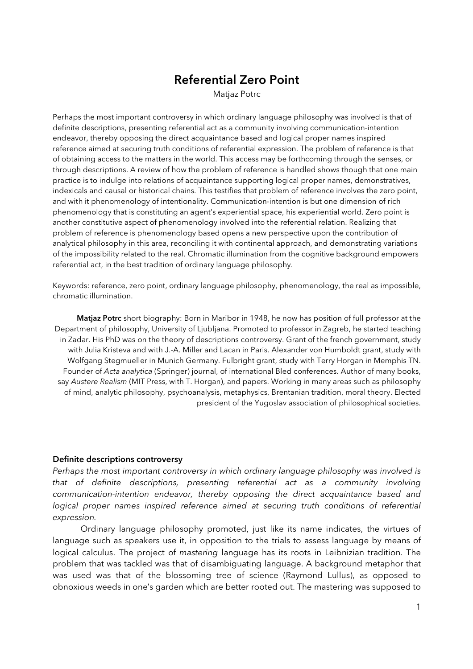# Referential Zero Point

Matjaz Potrc

Perhaps the most important controversy in which ordinary language philosophy was involved is that of definite descriptions, presenting referential act as a community involving communication-intention endeavor, thereby opposing the direct acquaintance based and logical proper names inspired reference aimed at securing truth conditions of referential expression. The problem of reference is that of obtaining access to the matters in the world. This access may be forthcoming through the senses, or through descriptions. A review of how the problem of reference is handled shows though that one main practice is to indulge into relations of acquaintance supporting logical proper names, demonstratives, indexicals and causal or historical chains. This testifies that problem of reference involves the zero point, and with it phenomenology of intentionality. Communication-intention is but one dimension of rich phenomenology that is constituting an agent's experiential space, his experiential world. Zero point is another constitutive aspect of phenomenology involved into the referential relation. Realizing that problem of reference is phenomenology based opens a new perspective upon the contribution of analytical philosophy in this area, reconciling it with continental approach, and demonstrating variations of the impossibility related to the real. Chromatic illumination from the cognitive background empowers referential act, in the best tradition of ordinary language philosophy.

Keywords: reference, zero point, ordinary language philosophy, phenomenology, the real as impossible, chromatic illumination.

Matiaz Potrc short biography: Born in Maribor in 1948, he now has position of full professor at the Department of philosophy, University of Ljubljana. Promoted to professor in Zagreb, he started teaching in Zadar. His PhD was on the theory of descriptions controversy. Grant of the french government, study with Julia Kristeva and with J.-A. Miller and Lacan in Paris. Alexander von Humboldt grant, study with Wolfgang Stegmueller in Munich Germany. Fulbright grant, study with Terry Horgan in Memphis TN. Founder of *Acta analytica* (Springer) journal, of international Bled conferences. Author of many books, say *Austere Realism* (MIT Press, with T. Horgan), and papers. Working in many areas such as philosophy of mind, analytic philosophy, psychoanalysis, metaphysics, Brentanian tradition, moral theory. Elected president of the Yugoslav association of philosophical societies.

#### Definite descriptions controversy

*Perhaps the most important controversy in which ordinary language philosophy was involved is that of definite descriptions, presenting referential act as a community involving communication-intention endeavor, thereby opposing the direct acquaintance based and logical proper names inspired reference aimed at securing truth conditions of referential expression.*

 Ordinary language philosophy promoted, just like its name indicates, the virtues of language such as speakers use it, in opposition to the trials to assess language by means of logical calculus. The project of *mastering* language has its roots in Leibnizian tradition. The problem that was tackled was that of disambiguating language. A background metaphor that was used was that of the blossoming tree of science (Raymond Lullus), as opposed to obnoxious weeds in one's garden which are better rooted out. The mastering was supposed to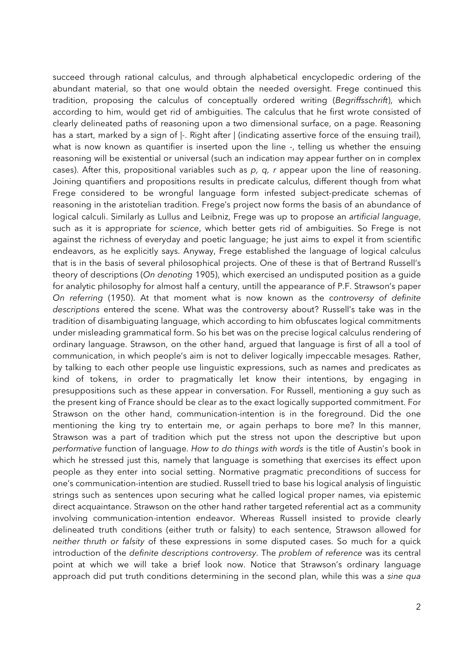succeed through rational calculus, and through alphabetical encyclopedic ordering of the abundant material, so that one would obtain the needed oversight. Frege continued this tradition, proposing the calculus of conceptually ordered writing (*Begriffsschrift*), which according to him, would get rid of ambiguities. The calculus that he first wrote consisted of clearly delineated paths of reasoning upon a two dimensional surface, on a page. Reasoning has a start, marked by a sign of  $\vdash$ . Right after  $\vdash$  (indicating assertive force of the ensuing trail), what is now known as quantifier is inserted upon the line -, telling us whether the ensuing reasoning will be existential or universal (such an indication may appear further on in complex cases). After this, propositional variables such as *p, q, r* appear upon the line of reasoning. Joining quantifiers and propositions results in predicate calculus, different though from what Frege considered to be wrongful language form infested subject-predicate schemas of reasoning in the aristotelian tradition. Frege's project now forms the basis of an abundance of logical calculi. Similarly as Lullus and Leibniz, Frege was up to propose an *artificial language*, such as it is appropriate for *science*, which better gets rid of ambiguities. So Frege is not against the richness of everyday and poetic language; he just aims to expel it from scientific endeavors, as he explicitly says. Anyway, Frege established the language of logical calculus that is in the basis of several philosophical projects. One of these is that of Bertrand Russell's theory of descriptions (*On denoting* 1905), which exercised an undisputed position as a guide for analytic philosophy for almost half a century, untill the appearance of P.F. Strawson's paper *On referring* (1950). At that moment what is now known as the *controversy of definite descriptions* entered the scene. What was the controversy about? Russell's take was in the tradition of disambiguating language, which according to him obfuscates logical commitments under misleading grammatical form. So his bet was on the precise logical calculus rendering of ordinary language. Strawson, on the other hand, argued that language is first of all a tool of communication, in which people's aim is not to deliver logically impeccable mesages. Rather, by talking to each other people use linguistic expressions, such as names and predicates as kind of tokens, in order to pragmatically let know their intentions, by engaging in presuppositions such as these appear in conversation. For Russell, mentioning a guy such as the present king of France should be clear as to the exact logically supported commitment. For Strawson on the other hand, communication-intention is in the foreground. Did the one mentioning the king try to entertain me, or again perhaps to bore me? In this manner, Strawson was a part of tradition which put the stress not upon the descriptive but upon *performative* function of language. *How to do things with words* is the title of Austin's book in which he stressed just this, namely that language is something that exercises its effect upon people as they enter into social setting. Normative pragmatic preconditions of success for one's communication-intention are studied. Russell tried to base his logical analysis of linguistic strings such as sentences upon securing what he called logical proper names, via epistemic direct acquaintance. Strawson on the other hand rather targeted referential act as a community involving communication-intention endeavor. Whereas Russell insisted to provide clearly delineated truth conditions (either truth or falsity) to each sentence, Strawson allowed for *neither thruth or falsity* of these expressions in some disputed cases. So much for a quick introduction of the *definite descriptions controversy*. The *problem of reference* was its central point at which we will take a brief look now. Notice that Strawson's ordinary language approach did put truth conditions determining in the second plan, while this was a *sine qua*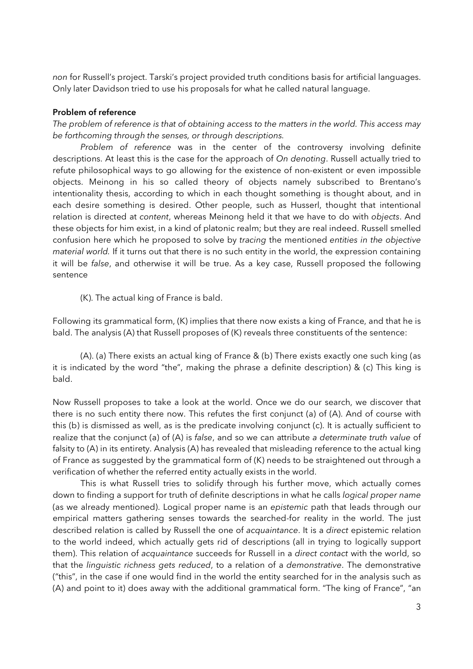*non* for Russell's project. Tarski's project provided truth conditions basis for artificial languages. Only later Davidson tried to use his proposals for what he called natural language.

# Problem of reference

*The problem of reference is that of obtaining access to the matters in the world. This access may be forthcoming through the senses, or through descriptions.*

*Problem of reference* was in the center of the controversy involving definite descriptions. At least this is the case for the approach of *On denoting*. Russell actually tried to refute philosophical ways to go allowing for the existence of non-existent or even impossible objects. Meinong in his so called theory of objects namely subscribed to Brentano's intentionality thesis, according to which in each thought something is thought about, and in each desire something is desired. Other people, such as Husserl, thought that intentional relation is directed at *content*, whereas Meinong held it that we have to do with *objects*. And these objects for him exist, in a kind of platonic realm; but they are real indeed. Russell smelled confusion here which he proposed to solve by *tracing* the mentioned *entities in the objective material world.* If it turns out that there is no such entity in the world, the expression containing it will be *false*, and otherwise it will be true. As a key case, Russell proposed the following sentence

(K). The actual king of France is bald.

Following its grammatical form, (K) implies that there now exists a king of France, and that he is bald. The analysis (A) that Russell proposes of (K) reveals three constituents of the sentence:

(A). (a) There exists an actual king of France & (b) There exists exactly one such king (as it is indicated by the word "the", making the phrase a definite description) & (c) This king is bald.

Now Russell proposes to take a look at the world. Once we do our search, we discover that there is no such entity there now. This refutes the first conjunct (a) of (A). And of course with this (b) is dismissed as well, as is the predicate involving conjunct (c). It is actually sufficient to realize that the conjunct (a) of (A) is *false*, and so we can attribute *a determinate truth value* of falsity to (A) in its entirety. Analysis (A) has revealed that misleading reference to the actual king of France as suggested by the grammatical form of (K) needs to be straightened out through a verification of whether the referred entity actually exists in the world.

This is what Russell tries to solidify through his further move, which actually comes down to finding a support for truth of definite descriptions in what he calls *logical proper name* (as we already mentioned). Logical proper name is an *epistemic* path that leads through our empirical matters gathering senses towards the searched-for reality in the world. The just described relation is called by Russell the one of *acquaintance*. It is a *direct* epistemic relation to the world indeed, which actually gets rid of descriptions (all in trying to logically support them). This relation of *acquaintance* succeeds for Russell in a *direct contact* with the world, so that the *linguistic richness gets reduced*, to a relation of a *demonstrative*. The demonstrative ("this", in the case if one would find in the world the entity searched for in the analysis such as (A) and point to it) does away with the additional grammatical form. "The king of France", "an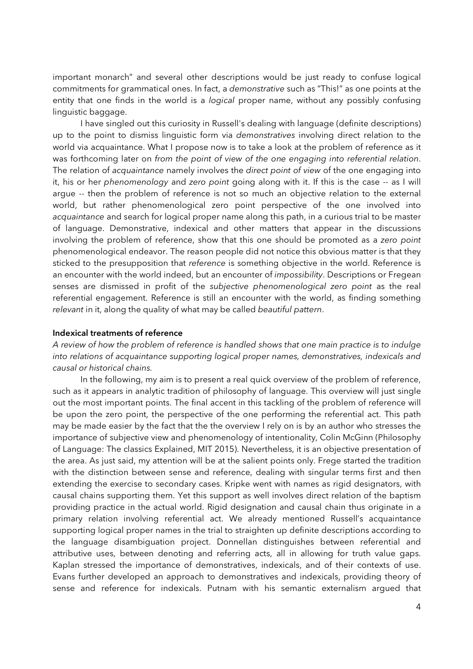important monarch" and several other descriptions would be just ready to confuse logical commitments for grammatical ones. In fact, a *demonstrative* such as "This!" as one points at the entity that one finds in the world is a *logical* proper name, without any possibly confusing linguistic baggage.

I have singled out this curiosity in Russell's dealing with language (definite descriptions) up to the point to dismiss linguistic form via *demonstratives* involving direct relation to the world via acquaintance. What I propose now is to take a look at the problem of reference as it was forthcoming later on *from the point of view of the one engaging into referential relation*. The relation of *acquaintance* namely involves the *direct point of view* of the one engaging into it, his or her *phenomenology* and *zero point* going along with it. If this is the case -- as I will argue -- then the problem of reference is not so much an objective relation to the external world, but rather phenomenological zero point perspective of the one involved into *acquaintance* and search for logical proper name along this path, in a curious trial to be master of language. Demonstrative, indexical and other matters that appear in the discussions involving the problem of reference, show that this one should be promoted as a *zero point* phenomenological endeavor. The reason people did not notice this obvious matter is that they sticked to the presupposition that *reference* is something objective in the world. Reference is an encounter with the world indeed, but an encounter of *impossibility*. Descriptions or Fregean senses are dismissed in profit of the *subjective phenomenological zero point* as the real referential engagement. Reference is still an encounter with the world, as finding something *relevant* in it, along the quality of what may be called *beautiful pattern*.

# Indexical treatments of reference

*A review of how the problem of reference is handled shows that one main practice is to indulge into relations of acquaintance supporting logical proper names, demonstratives, indexicals and causal or historical chains.* 

 In the following, my aim is to present a real quick overview of the problem of reference, such as it appears in analytic tradition of philosophy of language. This overview will just single out the most important points. The final accent in this tackling of the problem of reference will be upon the zero point, the perspective of the one performing the referential act. This path may be made easier by the fact that the the overview I rely on is by an author who stresses the importance of subjective view and phenomenology of intentionality, Colin McGinn (Philosophy of Language: The classics Explained, MIT 2015). Nevertheless, it is an objective presentation of the area. As just said, my attention will be at the salient points only. Frege started the tradition with the distinction between sense and reference, dealing with singular terms first and then extending the exercise to secondary cases. Kripke went with names as rigid designators, with causal chains supporting them. Yet this support as well involves direct relation of the baptism providing practice in the actual world. Rigid designation and causal chain thus originate in a primary relation involving referential act. We already mentioned Russell's acquaintance supporting logical proper names in the trial to straighten up definite descriptions according to the language disambiguation project. Donnellan distinguishes between referential and attributive uses, between denoting and referring acts, all in allowing for truth value gaps. Kaplan stressed the importance of demonstratives, indexicals, and of their contexts of use. Evans further developed an approach to demonstratives and indexicals, providing theory of sense and reference for indexicals. Putnam with his semantic externalism argued that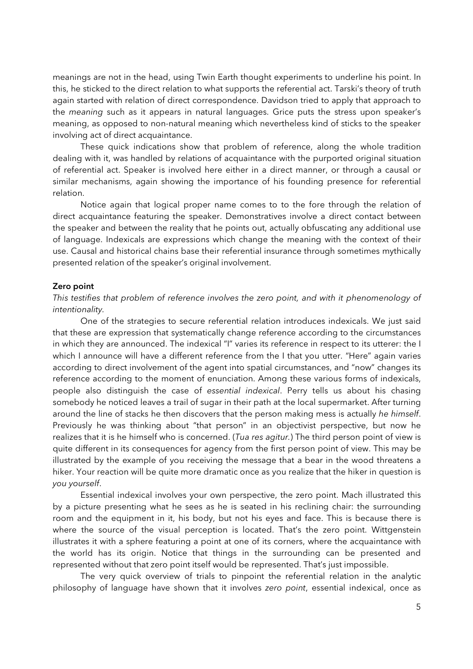meanings are not in the head, using Twin Earth thought experiments to underline his point. In this, he sticked to the direct relation to what supports the referential act. Tarski's theory of truth again started with relation of direct correspondence. Davidson tried to apply that approach to the *meaning* such as it appears in natural languages. Grice puts the stress upon speaker's meaning, as opposed to non-natural meaning which nevertheless kind of sticks to the speaker involving act of direct acquaintance.

These quick indications show that problem of reference, along the whole tradition dealing with it, was handled by relations of acquaintance with the purported original situation of referential act. Speaker is involved here either in a direct manner, or through a causal or similar mechanisms, again showing the importance of his founding presence for referential relation.

Notice again that logical proper name comes to to the fore through the relation of direct acquaintance featuring the speaker. Demonstratives involve a direct contact between the speaker and between the reality that he points out, actually obfuscating any additional use of language. Indexicals are expressions which change the meaning with the context of their use. Causal and historical chains base their referential insurance through sometimes mythically presented relation of the speaker's original involvement.

# Zero point

# *This testifies that problem of reference involves the zero point, and with it phenomenology of intentionality.*

 One of the strategies to secure referential relation introduces indexicals. We just said that these are expression that systematically change reference according to the circumstances in which they are announced. The indexical "I" varies its reference in respect to its utterer: the I which I announce will have a different reference from the I that you utter. "Here" again varies according to direct involvement of the agent into spatial circumstances, and "now" changes its reference according to the moment of enunciation. Among these various forms of indexicals, people also distinguish the case of *essential indexical*. Perry tells us about his chasing somebody he noticed leaves a trail of sugar in their path at the local supermarket. After turning around the line of stacks he then discovers that the person making mess is actually *he himself*. Previously he was thinking about "that person" in an objectivist perspective, but now he realizes that it is he himself who is concerned. (*Tua res agitur.*) The third person point of view is quite different in its consequences for agency from the first person point of view. This may be illustrated by the example of you receiving the message that a bear in the wood threatens a hiker. Your reaction will be quite more dramatic once as you realize that the hiker in question is *you yourself*.

 Essential indexical involves your own perspective, the zero point. Mach illustrated this by a picture presenting what he sees as he is seated in his reclining chair: the surrounding room and the equipment in it, his body, but not his eyes and face. This is because there is where the source of the visual perception is located. That's the zero point. Wittgenstein illustrates it with a sphere featuring a point at one of its corners, where the acquaintance with the world has its origin. Notice that things in the surrounding can be presented and represented without that zero point itself would be represented. That's just impossible.

 The very quick overview of trials to pinpoint the referential relation in the analytic philosophy of language have shown that it involves *zero point*, essential indexical, once as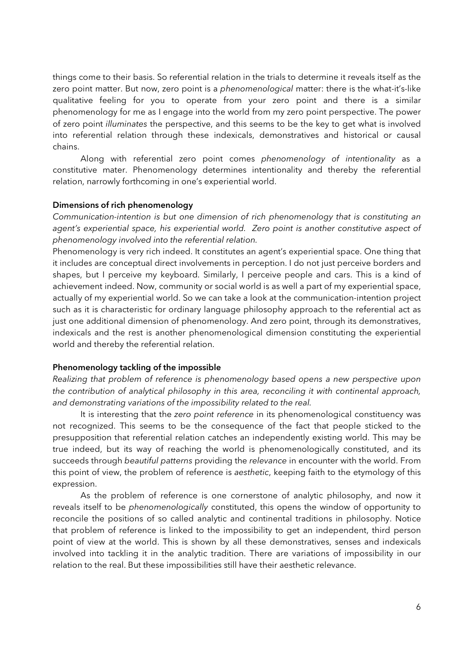things come to their basis. So referential relation in the trials to determine it reveals itself as the zero point matter. But now, zero point is a *phenomenological* matter: there is the what-it's-like qualitative feeling for you to operate from your zero point and there is a similar phenomenology for me as I engage into the world from my zero point perspective. The power of zero point *illuminates* the perspective, and this seems to be the key to get what is involved into referential relation through these indexicals, demonstratives and historical or causal chains.

 Along with referential zero point comes *phenomenology of intentionality* as a constitutive mater. Phenomenology determines intentionality and thereby the referential relation, narrowly forthcoming in one's experiential world.

# Dimensions of rich phenomenology

*Communication-intention is but one dimension of rich phenomenology that is constituting an agent's experiential space, his experiential world. Zero point is another constitutive aspect of phenomenology involved into the referential relation.* 

Phenomenology is very rich indeed. It constitutes an agent's experiential space. One thing that it includes are conceptual direct involvements in perception. I do not just perceive borders and shapes, but I perceive my keyboard. Similarly, I perceive people and cars. This is a kind of achievement indeed. Now, community or social world is as well a part of my experiential space, actually of my experiential world. So we can take a look at the communication-intention project such as it is characteristic for ordinary language philosophy approach to the referential act as just one additional dimension of phenomenology. And zero point, through its demonstratives, indexicals and the rest is another phenomenological dimension constituting the experiential world and thereby the referential relation.

## Phenomenology tackling of the impossible

*Realizing that problem of reference is phenomenology based opens a new perspective upon the contribution of analytical philosophy in this area, reconciling it with continental approach, and demonstrating variations of the impossibility related to the real.* 

 It is interesting that the *zero point reference* in its phenomenological constituency was not recognized. This seems to be the consequence of the fact that people sticked to the presupposition that referential relation catches an independently existing world. This may be true indeed, but its way of reaching the world is phenomenologically constituted, and its succeeds through *beautiful patterns* providing the *relevance* in encounter with the world. From this point of view, the problem of reference is *aesthetic*, keeping faith to the etymology of this expression.

 As the problem of reference is one cornerstone of analytic philosophy, and now it reveals itself to be *phenomenologically* constituted, this opens the window of opportunity to reconcile the positions of so called analytic and continental traditions in philosophy. Notice that problem of reference is linked to the impossibility to get an independent, third person point of view at the world. This is shown by all these demonstratives, senses and indexicals involved into tackling it in the analytic tradition. There are variations of impossibility in our relation to the real. But these impossibilities still have their aesthetic relevance.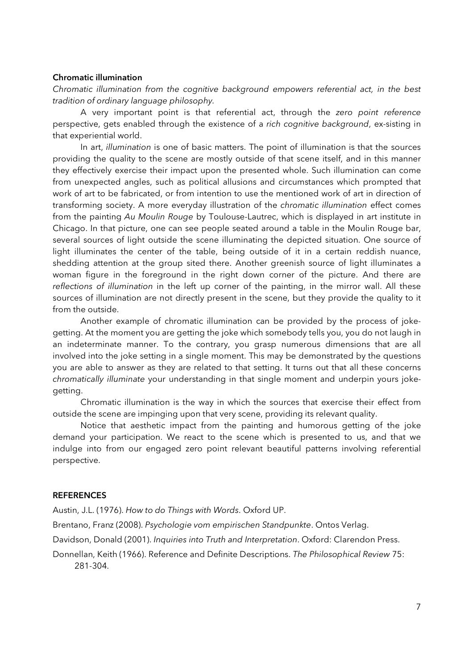## Chromatic illumination

*Chromatic illumination from the cognitive background empowers referential act, in the best tradition of ordinary language philosophy.*

 A very important point is that referential act, through the *zero point reference* perspective, gets enabled through the existence of a *rich cognitive background*, ex-sisting in that experiential world.

In art, *illumination* is one of basic matters. The point of illumination is that the sources providing the quality to the scene are mostly outside of that scene itself, and in this manner they effectively exercise their impact upon the presented whole. Such illumination can come from unexpected angles, such as political allusions and circumstances which prompted that work of art to be fabricated, or from intention to use the mentioned work of art in direction of transforming society. A more everyday illustration of the *chromatic illumination* effect comes from the painting *Au Moulin Rouge* by Toulouse-Lautrec, which is displayed in art institute in Chicago. In that picture, one can see people seated around a table in the Moulin Rouge bar, several sources of light outside the scene illuminating the depicted situation. One source of light illuminates the center of the table, being outside of it in a certain reddish nuance, shedding attention at the group sited there. Another greenish source of light illuminates a woman figure in the foreground in the right down corner of the picture. And there are *reflections of illumination* in the left up corner of the painting, in the mirror wall. All these sources of illumination are not directly present in the scene, but they provide the quality to it from the outside.

 Another example of chromatic illumination can be provided by the process of jokegetting. At the moment you are getting the joke which somebody tells you, you do not laugh in an indeterminate manner. To the contrary, you grasp numerous dimensions that are all involved into the joke setting in a single moment. This may be demonstrated by the questions you are able to answer as they are related to that setting. It turns out that all these concerns *chromatically illuminate* your understanding in that single moment and underpin yours jokegetting.

 Chromatic illumination is the way in which the sources that exercise their effect from outside the scene are impinging upon that very scene, providing its relevant quality.

 Notice that aesthetic impact from the painting and humorous getting of the joke demand your participation. We react to the scene which is presented to us, and that we indulge into from our engaged zero point relevant beautiful patterns involving referential perspective.

## **REFERENCES**

Austin, J.L. (1976). *How to do Things with Words*. Oxford UP.

Brentano, Franz (2008). *Psychologie vom empirischen Standpunkte*. Ontos Verlag.

Davidson, Donald (2001). *Inquiries into Truth and Interpretation*. Oxford: Clarendon Press.

Donnellan, Keith (1966). Reference and Definite Descriptions. *The Philosophical Review* 75: 281-304.